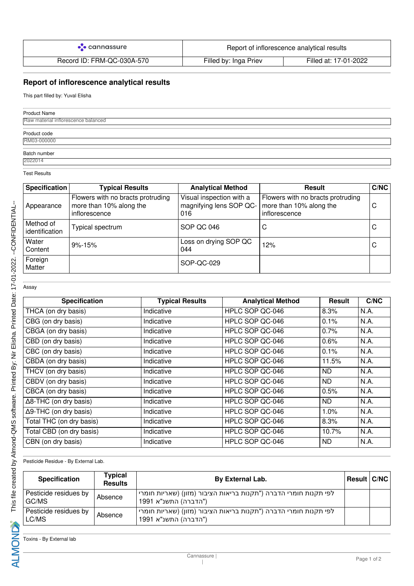| $\bullet$ cannassure       | Report of inflorescence analytical results |                       |
|----------------------------|--------------------------------------------|-----------------------|
| Record ID: FRM-QC-030A-570 | Filled by: Inga Priev                      | Filled at: 17-01-2022 |

## **Report of inflorescence analytical results**

This part filled by: Yuval Elisha

| <b>Product Name</b>                 |  |
|-------------------------------------|--|
| Raw material inflorescence balanced |  |
| Product code<br>RM03-000000         |  |
|                                     |  |
| Batch number<br>2022014             |  |

Test Results

| Specification               | <b>Typical Results</b>                                                        | <b>Analytical Method</b>                                   | <b>Result</b>                                                                 | C/NC |
|-----------------------------|-------------------------------------------------------------------------------|------------------------------------------------------------|-------------------------------------------------------------------------------|------|
| Appearance                  | Flowers with no bracts protruding<br>more than 10% along the<br>inflorescence | Visual inspection with a<br>magnifying lens SOP QC-<br>016 | Flowers with no bracts protruding<br>more than 10% along the<br>inflorescence | С    |
| Method of<br>identification | Typical spectrum                                                              | SOP QC 046                                                 | С                                                                             | С    |
| Water<br>Content            | $9\% - 15\%$                                                                  | Loss on drying SOP QC<br>044                               | 12%                                                                           | С    |
| Foreign<br>Matter           |                                                                               | SOP-QC-029                                                 |                                                                               |      |

Assay

| <b>Specification</b>          | <b>Typical Results</b> | <b>Analytical Method</b> | <b>Result</b> | C/NC |
|-------------------------------|------------------------|--------------------------|---------------|------|
| THCA (on dry basis)           | Indicative             | HPLC SOP QC-046          | 8.3%          | N.A. |
| CBG (on dry basis)            | Indicative             | HPLC SOP QC-046          | 0.1%          | N.A. |
| CBGA (on dry basis)           | Indicative             | HPLC SOP QC-046          | 0.7%          | N.A. |
| CBD (on dry basis)            | Indicative             | HPLC SOP QC-046          | 0.6%          | N.A. |
| CBC (on dry basis)            | Indicative             | HPLC SOP QC-046          | 0.1%          | N.A. |
| CBDA (on dry basis)           | Indicative             | HPLC SOP QC-046          | 11.5%         | N.A. |
| THCV (on dry basis)           | Indicative             | HPLC SOP QC-046          | ND.           | N.A. |
| CBDV (on dry basis)           | Indicative             | HPLC SOP QC-046          | <b>ND</b>     | N.A. |
| CBCA (on dry basis)           | Indicative             | HPLC SOP QC-046          | 0.5%          | N.A. |
| $\Delta$ 8-THC (on dry basis) | Indicative             | HPLC SOP QC-046          | ND.           | N.A. |
| $\Delta$ 9-THC (on dry basis) | Indicative             | HPLC SOP QC-046          | 1.0%          | N.A. |
| Total THC (on dry basis)      | Indicative             | HPLC SOP QC-046          | 8.3%          | N.A. |
| Total CBD (on dry basis)      | Indicative             | HPLC SOP QC-046          | 10.7%         | N.A. |
| CBN (on dry basis)            | Indicative             | HPLC SOP QC-046          | ND.           | N.A. |

Pesticide Residue - By External Lab.

| <b>Specification</b>           | Typical<br><b>Results</b> | By External Lab.                                                                                      | <b>Result C/NC</b> |  |
|--------------------------------|---------------------------|-------------------------------------------------------------------------------------------------------|--------------------|--|
| Pesticide residues by<br>GC/MS | Absence                   | לפי תקנות חומרי הדברה ("תקנות בריאות הציבור (מזון) (שאריות חומרי <sub>ו</sub><br>("הדברה) התשנ"א 1991 |                    |  |
| Pesticide residues by<br>LC/MS | Absence                   | לפי תקנות חומרי הדברה ("תקנות בריאות הציבור (מזון) (שאריות חומרי<br>("הדברה) התשנ"א 1991              |                    |  |

Toxins - By External lab